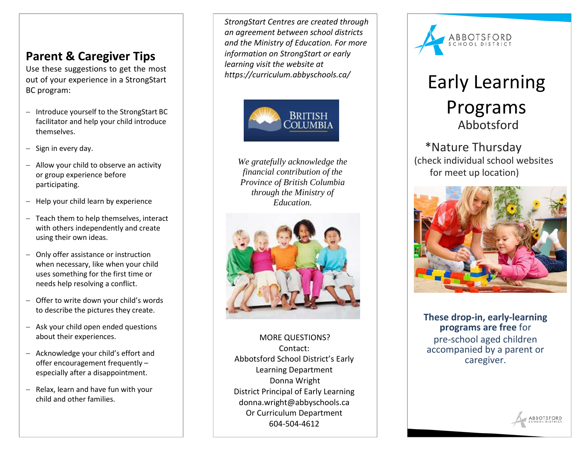## **Parent & Caregiver Tips**

Use these suggestions to get the most out of your experience in a StrongStart BC program:

- − Introduce yourself to the StrongStart BC facilitator and help your child introduce themselves.
- − Sign in every day.
- − Allow your child to observe an activity or group experience before participating.
- − Help your child learn by experience
- − Teach them to help themselves, interact with others independently and create using their own ideas.
- − Only offer assistance or instruction when necessary, like when your child uses something for the first time or needs help resolving a conflict.
- − Offer to write down your child's words to describe the pictures they create.
- − Ask your child open ended questions about their experiences.
- − Acknowledge your child's effort and offer encouragement frequently – especially after a disappointment.
- − Relax, learn and have fun with your child and other families.

*StrongStart Centres are created through an agreement between school districts and the Ministry of Education. For more information on StrongStart or early learning visit the website at https://curriculum.abbyschools.ca/*



*We gratefully acknowledge the financial contribution of the Province of British Columbia through the Ministry of Education.*



MORE QUESTIONS? Contact: Abbotsford School District's Early Learning Department Donna Wright District Principal of Early Learning donna.wright@abbyschools.ca Or Curriculum Department 604-504-4612



# Early Learning Programs Abbotsford

#### \*Nature Thursday (check individual school websites for meet up location)



**These drop-in, early-learning programs are free** for pre-school aged children accompanied by a parent or caregiver.